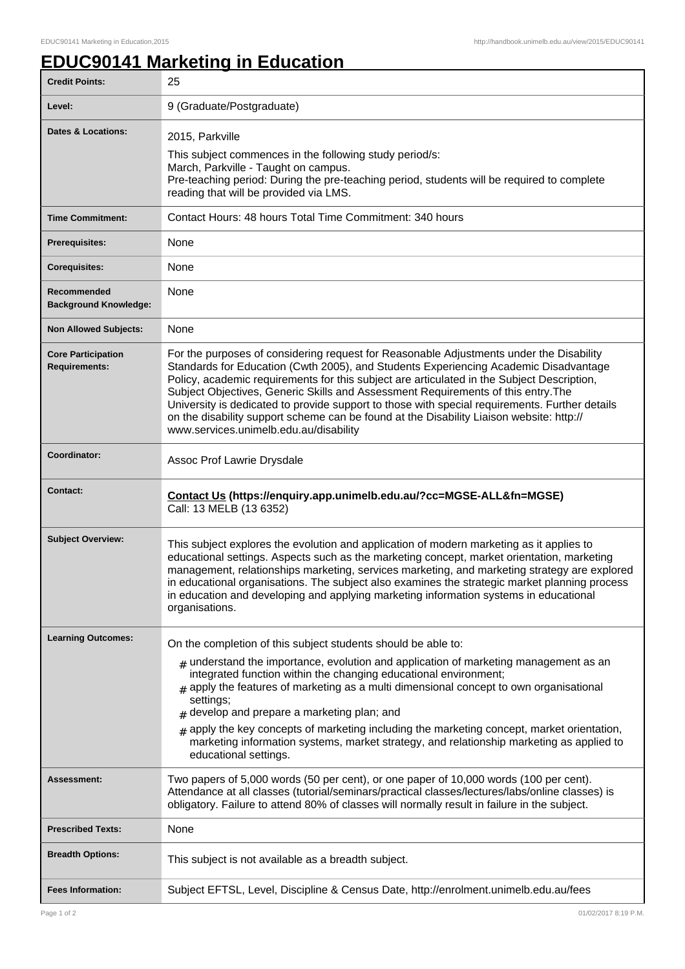ı

## **EDUC90141 Marketing in Education**

| <b>Credit Points:</b>                             | 25                                                                                                                                                                                                                                                                                                                                                                                                                                                                                                                                                                                                         |
|---------------------------------------------------|------------------------------------------------------------------------------------------------------------------------------------------------------------------------------------------------------------------------------------------------------------------------------------------------------------------------------------------------------------------------------------------------------------------------------------------------------------------------------------------------------------------------------------------------------------------------------------------------------------|
| Level:                                            | 9 (Graduate/Postgraduate)                                                                                                                                                                                                                                                                                                                                                                                                                                                                                                                                                                                  |
| Dates & Locations:                                | 2015, Parkville<br>This subject commences in the following study period/s:<br>March, Parkville - Taught on campus.<br>Pre-teaching period: During the pre-teaching period, students will be required to complete<br>reading that will be provided via LMS.                                                                                                                                                                                                                                                                                                                                                 |
| <b>Time Commitment:</b>                           | Contact Hours: 48 hours Total Time Commitment: 340 hours                                                                                                                                                                                                                                                                                                                                                                                                                                                                                                                                                   |
| <b>Prerequisites:</b>                             | None                                                                                                                                                                                                                                                                                                                                                                                                                                                                                                                                                                                                       |
| <b>Corequisites:</b>                              | None                                                                                                                                                                                                                                                                                                                                                                                                                                                                                                                                                                                                       |
| Recommended<br><b>Background Knowledge:</b>       | None                                                                                                                                                                                                                                                                                                                                                                                                                                                                                                                                                                                                       |
| <b>Non Allowed Subjects:</b>                      | None                                                                                                                                                                                                                                                                                                                                                                                                                                                                                                                                                                                                       |
| <b>Core Participation</b><br><b>Requirements:</b> | For the purposes of considering request for Reasonable Adjustments under the Disability<br>Standards for Education (Cwth 2005), and Students Experiencing Academic Disadvantage<br>Policy, academic requirements for this subject are articulated in the Subject Description,<br>Subject Objectives, Generic Skills and Assessment Requirements of this entry. The<br>University is dedicated to provide support to those with special requirements. Further details<br>on the disability support scheme can be found at the Disability Liaison website: http://<br>www.services.unimelb.edu.au/disability |
| Coordinator:                                      | Assoc Prof Lawrie Drysdale                                                                                                                                                                                                                                                                                                                                                                                                                                                                                                                                                                                 |
| <b>Contact:</b>                                   | Contact Us (https://enquiry.app.unimelb.edu.au/?cc=MGSE-ALL&fn=MGSE)<br>Call: 13 MELB (13 6352)                                                                                                                                                                                                                                                                                                                                                                                                                                                                                                            |
| <b>Subject Overview:</b>                          | This subject explores the evolution and application of modern marketing as it applies to<br>educational settings. Aspects such as the marketing concept, market orientation, marketing<br>management, relationships marketing, services marketing, and marketing strategy are explored<br>in educational organisations. The subject also examines the strategic market planning process<br>in education and developing and applying marketing information systems in educational<br>organisations.                                                                                                         |
| <b>Learning Outcomes:</b>                         | On the completion of this subject students should be able to:                                                                                                                                                                                                                                                                                                                                                                                                                                                                                                                                              |
|                                                   | $#$ understand the importance, evolution and application of marketing management as an<br>integrated function within the changing educational environment;<br>$_{\text{\#}}$ apply the features of marketing as a multi dimensional concept to own organisational<br>settings;<br>$#$ develop and prepare a marketing plan; and<br>$_{\#}$ apply the key concepts of marketing including the marketing concept, market orientation,<br>marketing information systems, market strategy, and relationship marketing as applied to                                                                            |
|                                                   | educational settings.                                                                                                                                                                                                                                                                                                                                                                                                                                                                                                                                                                                      |
| Assessment:                                       | Two papers of 5,000 words (50 per cent), or one paper of 10,000 words (100 per cent).<br>Attendance at all classes (tutorial/seminars/practical classes/lectures/labs/online classes) is<br>obligatory. Failure to attend 80% of classes will normally result in failure in the subject.                                                                                                                                                                                                                                                                                                                   |
| <b>Prescribed Texts:</b>                          | None                                                                                                                                                                                                                                                                                                                                                                                                                                                                                                                                                                                                       |
| <b>Breadth Options:</b>                           | This subject is not available as a breadth subject.                                                                                                                                                                                                                                                                                                                                                                                                                                                                                                                                                        |
| <b>Fees Information:</b>                          | Subject EFTSL, Level, Discipline & Census Date, http://enrolment.unimelb.edu.au/fees                                                                                                                                                                                                                                                                                                                                                                                                                                                                                                                       |